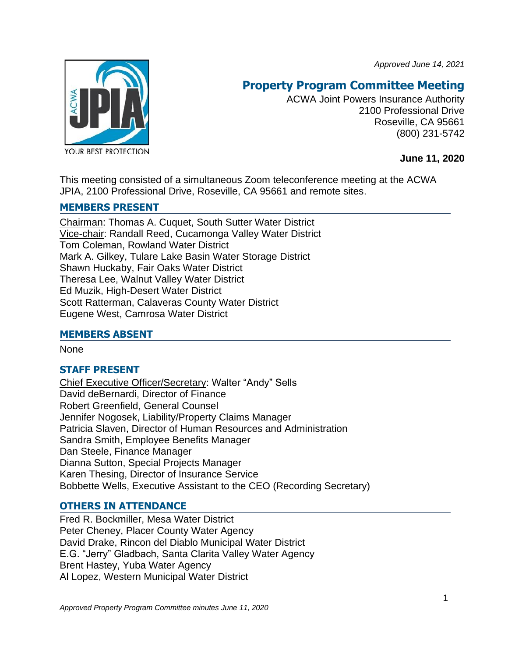*Approved June 14, 2021*



# **Property Program Committee Meeting**

ACWA Joint Powers Insurance Authority 2100 Professional Drive Roseville, CA 95661 (800) 231-5742

**June 11, 2020**

This meeting consisted of a simultaneous Zoom teleconference meeting at the ACWA JPIA, 2100 Professional Drive, Roseville, CA 95661 and remote sites.

# **MEMBERS PRESENT**

Chairman: Thomas A. Cuquet, South Sutter Water District Vice-chair: Randall Reed, Cucamonga Valley Water District Tom Coleman, Rowland Water District Mark A. Gilkey, Tulare Lake Basin Water Storage District Shawn Huckaby, Fair Oaks Water District Theresa Lee, Walnut Valley Water District Ed Muzik, High-Desert Water District Scott Ratterman, Calaveras County Water District Eugene West, Camrosa Water District

# **MEMBERS ABSENT**

**None** 

# **STAFF PRESENT**

Chief Executive Officer/Secretary: Walter "Andy" Sells David deBernardi, Director of Finance Robert Greenfield, General Counsel Jennifer Nogosek, Liability/Property Claims Manager Patricia Slaven, Director of Human Resources and Administration Sandra Smith, Employee Benefits Manager Dan Steele, Finance Manager Dianna Sutton, Special Projects Manager Karen Thesing, Director of Insurance Service Bobbette Wells, Executive Assistant to the CEO (Recording Secretary)

# **OTHERS IN ATTENDANCE**

Fred R. Bockmiller, Mesa Water District Peter Cheney, Placer County Water Agency David Drake, Rincon del Diablo Municipal Water District E.G. "Jerry" Gladbach, Santa Clarita Valley Water Agency Brent Hastey, Yuba Water Agency Al Lopez, Western Municipal Water District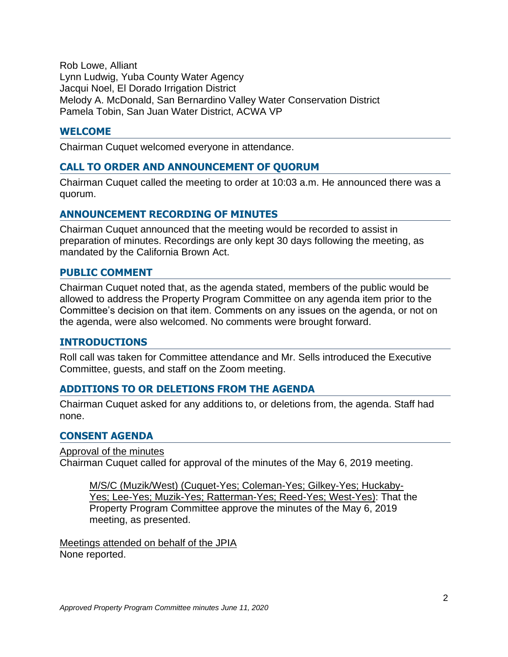Rob Lowe, Alliant Lynn Ludwig, Yuba County Water Agency Jacqui Noel, El Dorado Irrigation District Melody A. McDonald, San Bernardino Valley Water Conservation District Pamela Tobin, San Juan Water District, ACWA VP

### **WELCOME**

Chairman Cuquet welcomed everyone in attendance.

# **CALL TO ORDER AND ANNOUNCEMENT OF QUORUM**

Chairman Cuquet called the meeting to order at 10:03 a.m. He announced there was a quorum.

### **ANNOUNCEMENT RECORDING OF MINUTES**

Chairman Cuquet announced that the meeting would be recorded to assist in preparation of minutes. Recordings are only kept 30 days following the meeting, as mandated by the California Brown Act.

### **PUBLIC COMMENT**

Chairman Cuquet noted that, as the agenda stated, members of the public would be allowed to address the Property Program Committee on any agenda item prior to the Committee's decision on that item. Comments on any issues on the agenda, or not on the agenda, were also welcomed. No comments were brought forward.

### **INTRODUCTIONS**

Roll call was taken for Committee attendance and Mr. Sells introduced the Executive Committee, guests, and staff on the Zoom meeting.

### **ADDITIONS TO OR DELETIONS FROM THE AGENDA**

Chairman Cuquet asked for any additions to, or deletions from, the agenda. Staff had none.

### **CONSENT AGENDA**

Approval of the minutes Chairman Cuquet called for approval of the minutes of the May 6, 2019 meeting.

M/S/C (Muzik/West) (Cuquet-Yes; Coleman-Yes; Gilkey-Yes; Huckaby-Yes; Lee-Yes; Muzik-Yes; Ratterman-Yes; Reed-Yes; West-Yes): That the Property Program Committee approve the minutes of the May 6, 2019 meeting, as presented.

Meetings attended on behalf of the JPIA None reported.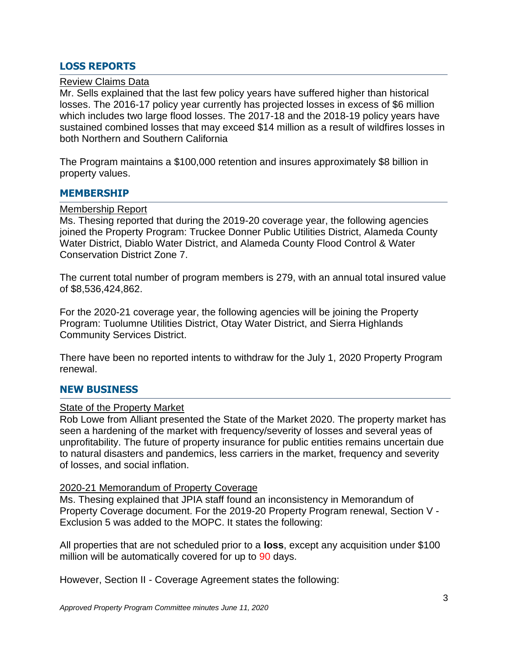# **LOSS REPORTS**

### Review Claims Data

Mr. Sells explained that the last few policy years have suffered higher than historical losses. The 2016-17 policy year currently has projected losses in excess of \$6 million which includes two large flood losses. The 2017-18 and the 2018-19 policy years have sustained combined losses that may exceed \$14 million as a result of wildfires losses in both Northern and Southern California

The Program maintains a \$100,000 retention and insures approximately \$8 billion in property values.

#### **MEMBERSHIP**

#### Membership Report

Ms. Thesing reported that during the 2019-20 coverage year, the following agencies joined the Property Program: Truckee Donner Public Utilities District, Alameda County Water District, Diablo Water District, and Alameda County Flood Control & Water Conservation District Zone 7.

The current total number of program members is 279, with an annual total insured value of \$8,536,424,862.

For the 2020-21 coverage year, the following agencies will be joining the Property Program: Tuolumne Utilities District, Otay Water District, and Sierra Highlands Community Services District.

There have been no reported intents to withdraw for the July 1, 2020 Property Program renewal.

### **NEW BUSINESS**

#### **State of the Property Market**

Rob Lowe from Alliant presented the State of the Market 2020. The property market has seen a hardening of the market with frequency/severity of losses and several yeas of unprofitability. The future of property insurance for public entities remains uncertain due to natural disasters and pandemics, less carriers in the market, frequency and severity of losses, and social inflation.

#### 2020-21 Memorandum of Property Coverage

Ms. Thesing explained that JPIA staff found an inconsistency in Memorandum of Property Coverage document. For the 2019-20 Property Program renewal, Section V - Exclusion 5 was added to the MOPC. It states the following:

All properties that are not scheduled prior to a **loss**, except any acquisition under \$100 million will be automatically covered for up to 90 days.

However, Section II - Coverage Agreement states the following: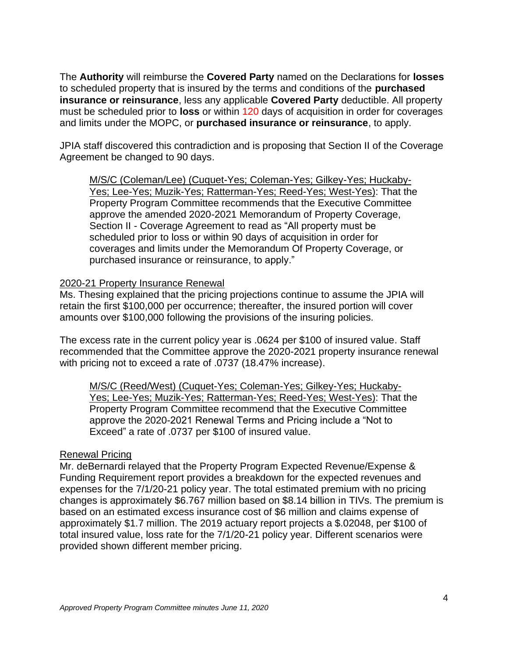The **Authority** will reimburse the **Covered Party** named on the Declarations for **losses**  to scheduled property that is insured by the terms and conditions of the **purchased insurance or reinsurance**, less any applicable **Covered Party** deductible. All property must be scheduled prior to **loss** or within 120 days of acquisition in order for coverages and limits under the MOPC, or **purchased insurance or reinsurance**, to apply.

JPIA staff discovered this contradiction and is proposing that Section II of the Coverage Agreement be changed to 90 days.

M/S/C (Coleman/Lee) (Cuquet-Yes; Coleman-Yes; Gilkey-Yes; Huckaby-Yes; Lee-Yes; Muzik-Yes; Ratterman-Yes; Reed-Yes; West-Yes): That the Property Program Committee recommends that the Executive Committee approve the amended 2020-2021 Memorandum of Property Coverage, Section II - Coverage Agreement to read as "All property must be scheduled prior to loss or within 90 days of acquisition in order for coverages and limits under the Memorandum Of Property Coverage, or purchased insurance or reinsurance, to apply."

### 2020-21 Property Insurance Renewal

Ms. Thesing explained that the pricing projections continue to assume the JPIA will retain the first \$100,000 per occurrence; thereafter, the insured portion will cover amounts over \$100,000 following the provisions of the insuring policies.

The excess rate in the current policy year is .0624 per \$100 of insured value. Staff recommended that the Committee approve the 2020-2021 property insurance renewal with pricing not to exceed a rate of .0737 (18.47% increase).

M/S/C (Reed/West) (Cuquet-Yes; Coleman-Yes; Gilkey-Yes; Huckaby-Yes; Lee-Yes; Muzik-Yes; Ratterman-Yes; Reed-Yes; West-Yes): That the Property Program Committee recommend that the Executive Committee approve the 2020-2021 Renewal Terms and Pricing include a "Not to Exceed" a rate of .0737 per \$100 of insured value.

#### Renewal Pricing

Mr. deBernardi relayed that the Property Program Expected Revenue/Expense & Funding Requirement report provides a breakdown for the expected revenues and expenses for the 7/1/20-21 policy year. The total estimated premium with no pricing changes is approximately \$6.767 million based on \$8.14 billion in TIVs. The premium is based on an estimated excess insurance cost of \$6 million and claims expense of approximately \$1.7 million. The 2019 actuary report projects a \$.02048, per \$100 of total insured value, loss rate for the 7/1/20-21 policy year. Different scenarios were provided shown different member pricing.